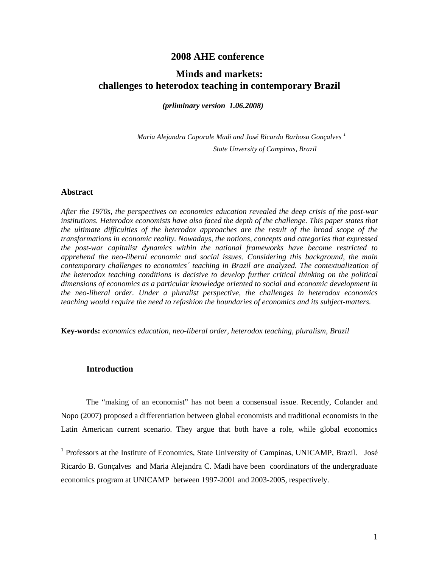# **2008 AHE conference**

# **Minds and markets: challenges to heterodox teaching in contemporary Brazil**

*(prliminary version 1.06.2008)* 

*Maria Alejandra Caporale Madi and José Ricardo Barbosa Gonçalves [1](#page-0-0) State Unversity of Campinas, Brazil* 

#### **Abstract**

*After the 1970s, the perspectives on economics education revealed the deep crisis of the post-war*  institutions. Heterodox economists have also faced the depth of the challenge. This paper states that *the ultimate difficulties of the heterodox approaches are the result of the broad scope of the transformations in economic reality. Nowadays, the notions, concepts and categories that expressed the post-war capitalist dynamics within the national frameworks have become restricted to apprehend the neo-liberal economic and social issues. Considering this background, the main contemporary challenges to economics´ teaching in Brazil are analyzed. The contextualization of the heterodox teaching conditions is decisive to develop further critical thinking on the political dimensions of economics as a particular knowledge oriented to social and economic development in the neo-liberal order. Under a pluralist perspective, the challenges in heterodox economics teaching would require the need to refashion the boundaries of economics and its subject-matters.* 

**Key-words:** *economics education, neo-liberal order, heterodox teaching, pluralism, Brazil* 

### **Introduction**

1

The "making of an economist" has not been a consensual issue. Recently, Colander and Nopo (2007) proposed a differentiation between global economists and traditional economists in the Latin American current scenario. They argue that both have a role, while global economics

<span id="page-0-0"></span><sup>&</sup>lt;sup>1</sup> Professors at the Institute of Economics, State University of Campinas, UNICAMP, Brazil. José Ricardo B. Gonçalves and Maria Alejandra C. Madi have been coordinators of the undergraduate economics program at UNICAMP between 1997-2001 and 2003-2005, respectively.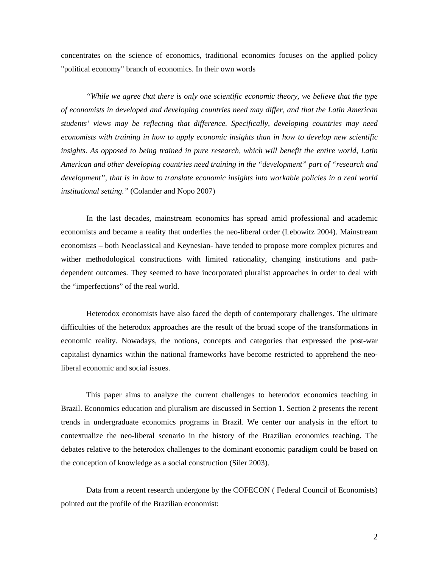concentrates on the science of economics, traditional economics focuses on the applied policy "political economy" branch of economics. In their own words

*"While we agree that there is only one scientific economic theory, we believe that the type of economists in developed and developing countries need may differ, and that the Latin American students' views may be reflecting that difference. Specifically, developing countries may need economists with training in how to apply economic insights than in how to develop new scientific insights. As opposed to being trained in pure research, which will benefit the entire world, Latin American and other developing countries need training in the "development" part of "research and development", that is in how to translate economic insights into workable policies in a real world institutional setting."* (Colander and Nopo 2007)

In the last decades, mainstream economics has spread amid professional and academic economists and became a reality that underlies the neo-liberal order (Lebowitz 2004). Mainstream economists – both Neoclassical and Keynesian- have tended to propose more complex pictures and wither methodological constructions with limited rationality, changing institutions and pathdependent outcomes. They seemed to have incorporated pluralist approaches in order to deal with the "imperfections" of the real world.

Heterodox economists have also faced the depth of contemporary challenges. The ultimate difficulties of the heterodox approaches are the result of the broad scope of the transformations in economic reality. Nowadays, the notions, concepts and categories that expressed the post-war capitalist dynamics within the national frameworks have become restricted to apprehend the neoliberal economic and social issues.

This paper aims to analyze the current challenges to heterodox economics teaching in Brazil. Economics education and pluralism are discussed in Section 1. Section 2 presents the recent trends in undergraduate economics programs in Brazil. We center our analysis in the effort to contextualize the neo-liberal scenario in the history of the Brazilian economics teaching. The debates relative to the heterodox challenges to the dominant economic paradigm could be based on the conception of knowledge as a social construction (Siler 2003).

Data from a recent research undergone by the COFECON ( Federal Council of Economists) pointed out the profile of the Brazilian economist: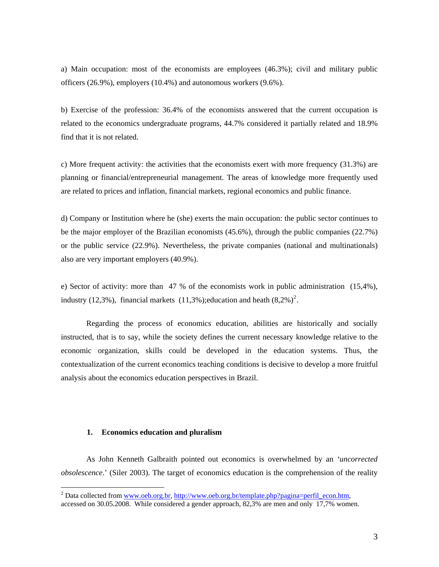a) Main occupation: most of the economists are employees (46.3%); civil and military public officers (26.9%), employers (10.4%) and autonomous workers (9.6%).

b) Exercise of the profession: 36.4% of the economists answered that the current occupation is related to the economics undergraduate programs, 44.7% considered it partially related and 18.9% find that it is not related.

c) More frequent activity: the activities that the economists exert with more frequency (31.3%) are planning or financial/entrepreneurial management. The areas of knowledge more frequently used are related to prices and inflation, financial markets, regional economics and public finance.

d) Company or Institution where he (she) exerts the main occupation: the public sector continues to be the major employer of the Brazilian economists (45.6%), through the public companies (22.7%) or the public service (22.9%). Nevertheless, the private companies (national and multinationals) also are very important employers (40.9%).

e) Sector of activity: more than 47 % of the economists work in public administration (15,4%), industry (1[2](#page-2-0),3%), financial markets (11,3%); education and heath  $(8,2\%)^2$ .

Regarding the process of economics education, abilities are historically and socially instructed, that is to say, while the society defines the current necessary knowledge relative to the economic organization, skills could be developed in the education systems. Thus, the contextualization of the current economics teaching conditions is decisive to develop a more fruitful analysis about the economics education perspectives in Brazil.

#### **1. Economics education and pluralism**

1

As John Kenneth Galbraith pointed out economics is overwhelmed by an *'uncorrected obsolescence*.' (Siler 2003). The target of economics education is the comprehension of the reality

<span id="page-2-0"></span><sup>&</sup>lt;sup>2</sup> Data collected from [www.oeb.org.br,](http://www.oeb.org.br/) [http://www.oeb.org.br/template.php?pagina=perfil\\_econ.htm](http://www.oeb.org.br/template.php?pagina=perfil_econ.htm), accessed on 30.05.2008.While considered a gender approach, 82,3% are men and only 17,7% women.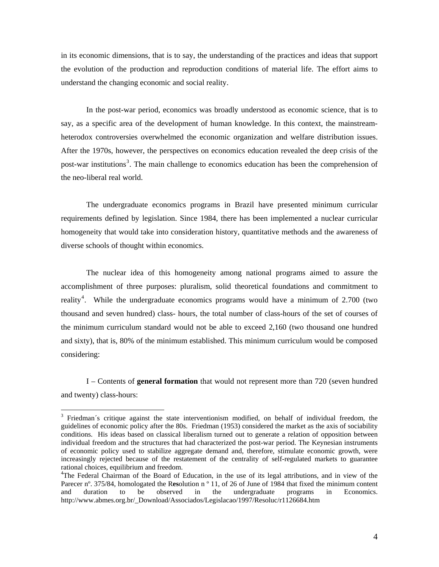in its economic dimensions, that is to say, the understanding of the practices and ideas that support the evolution of the production and reproduction conditions of material life. The effort aims to understand the changing economic and social reality.

In the post-war period, economics was broadly understood as economic science, that is to say, as a specific area of the development of human knowledge. In this context, the mainstreamheterodox controversies overwhelmed the economic organization and welfare distribution issues. After the 1970s, however, the perspectives on economics education revealed the deep crisis of the post-war institutions<sup>[3](#page-3-0)</sup>. The main challenge to economics education has been the comprehension of the neo-liberal real world.

The undergraduate economics programs in Brazil have presented minimum curricular requirements defined by legislation. Since 1984, there has been implemented a nuclear curricular homogeneity that would take into consideration history, quantitative methods and the awareness of diverse schools of thought within economics.

The nuclear idea of this homogeneity among national programs aimed to assure the accomplishment of three purposes: pluralism, solid theoretical foundations and commitment to reality<sup>[4](#page-3-1)</sup>. While the undergraduate economics programs would have a minimum of 2.700 (two thousand and seven hundred) class- hours, the total number of class-hours of the set of courses of the minimum curriculum standard would not be able to exceed 2,160 (two thousand one hundred and sixty), that is, 80% of the minimum established. This minimum curriculum would be composed considering:

I – Contents of **general formation** that would not represent more than 720 (seven hundred and twenty) class-hours:

<u>.</u>

<span id="page-3-0"></span><sup>&</sup>lt;sup>3</sup> Friedman´s critique against the state interventionism modified, on behalf of individual freedom, the guidelines of economic policy after the 80s. Friedman (1953) considered the market as the axis of sociability conditions. His ideas based on classical liberalism turned out to generate a relation of opposition between individual freedom and the structures that had characterized the post-war period. The Keynesian instruments of economic policy used to stabilize aggregate demand and, therefore, stimulate economic growth, were increasingly rejected because of the restatement of the centrality of self-regulated markets to guarantee rational choices, equilibrium and freedom.

<span id="page-3-1"></span><sup>&</sup>lt;sup>4</sup>The Federal Chairman of the Board of Education, in the use of its legal attributions, and in view of the Parecer nº. 375/84, homologated the R**es**olution n º 11, of 26 of June of 1984 that fixed the minimum content and duration to be observed in the undergraduate programs in Economics. http://www.abmes.org.br/\_Download/Associados/Legislacao/1997/Resoluc/r1126684.htm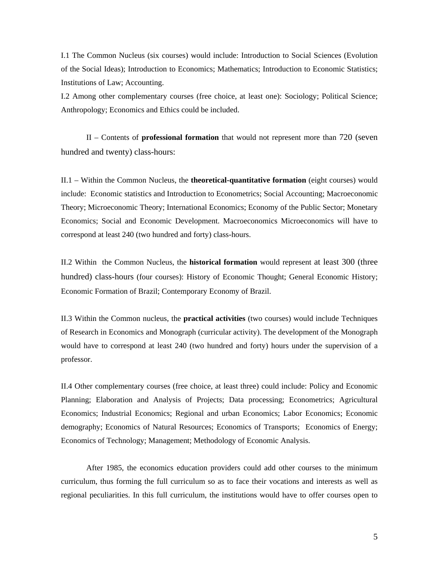I.1 The Common Nucleus (six courses) would include: Introduction to Social Sciences (Evolution of the Social Ideas); Introduction to Economics; Mathematics; Introduction to Economic Statistics; Institutions of Law; Accounting.

I.2 Among other complementary courses (free choice, at least one): Sociology; Political Science; Anthropology; Economics and Ethics could be included.

II – Contents of **professional formation** that would not represent more than 720 (seven hundred and twenty) class-hours:

II.1 – Within the Common Nucleus, the **theoretical-quantitative formation** (eight courses) would include: Economic statistics and Introduction to Econometrics; Social Accounting; Macroeconomic Theory; Microeconomic Theory; International Economics; Economy of the Public Sector; Monetary Economics; Social and Economic Development. Macroeconomics Microeconomics will have to correspond at least 240 (two hundred and forty) class-hours.

II.2 Within the Common Nucleus, the **historical formation** would represent at least 300 (three hundred) class-hours (four courses): History of Economic Thought; General Economic History; Economic Formation of Brazil; Contemporary Economy of Brazil.

II.3 Within the Common nucleus, the **practical activities** (two courses) would include Techniques of Research in Economics and Monograph (curricular activity). The development of the Monograph would have to correspond at least 240 (two hundred and forty) hours under the supervision of a professor.

II.4 Other complementary courses (free choice, at least three) could include: Policy and Economic Planning; Elaboration and Analysis of Projects; Data processing; Econometrics; Agricultural Economics; Industrial Economics; Regional and urban Economics; Labor Economics; Economic demography; Economics of Natural Resources; Economics of Transports; Economics of Energy; Economics of Technology; Management; Methodology of Economic Analysis.

 After 1985, the economics education providers could add other courses to the minimum curriculum, thus forming the full curriculum so as to face their vocations and interests as well as regional peculiarities. In this full curriculum, the institutions would have to offer courses open to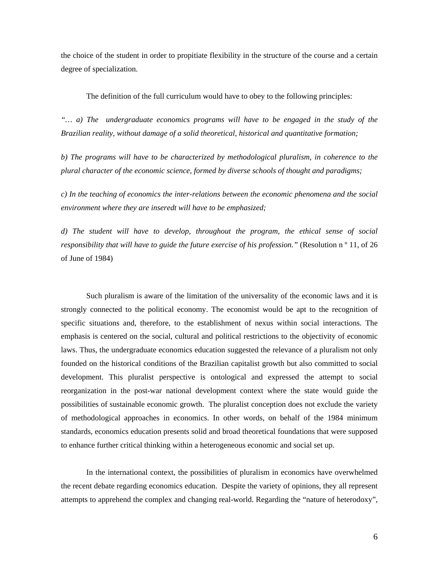the choice of the student in order to propitiate flexibility in the structure of the course and a certain degree of specialization.

The definition of the full curriculum would have to obey to the following principles:

*"… a) The undergraduate economics programs will have to be engaged in the study of the Brazilian reality, without damage of a solid theoretical, historical and quantitative formation;* 

*b) The programs will have to be characterized by methodological pluralism, in coherence to the plural character of the economic science, formed by diverse schools of thought and paradigms;* 

*c) In the teaching of economics the inter-relations between the economic phenomena and the social environment where they are inseredt will have to be emphasized;* 

*d) The student will have to develop, throughout the program, the ethical sense of social responsibility that will have to guide the future exercise of his profession.*" (Resolution n<sup>o</sup> 11, of 26 of June of 1984)

Such pluralism is aware of the limitation of the universality of the economic laws and it is strongly connected to the political economy. The economist would be apt to the recognition of specific situations and, therefore, to the establishment of nexus within social interactions. The emphasis is centered on the social, cultural and political restrictions to the objectivity of economic laws. Thus, the undergraduate economics education suggested the relevance of a pluralism not only founded on the historical conditions of the Brazilian capitalist growth but also committed to social development. This pluralist perspective is ontological and expressed the attempt to social reorganization in the post-war national development context where the state would guide the possibilities of sustainable economic growth. The pluralist conception does not exclude the variety of methodological approaches in economics. In other words, on behalf of the 1984 minimum standards, economics education presents solid and broad theoretical foundations that were supposed to enhance further critical thinking within a heterogeneous economic and social set up.

In the international context, the possibilities of pluralism in economics have overwhelmed the recent debate regarding economics education. Despite the variety of opinions, they all represent attempts to apprehend the complex and changing real-world. Regarding the "nature of heterodoxy",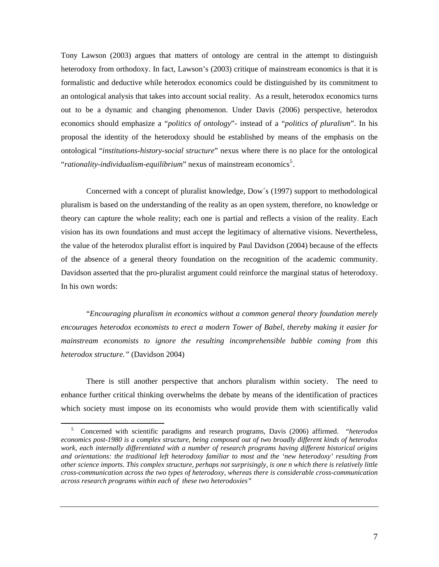Tony Lawson (2003) argues that matters of ontology are central in the attempt to distinguish heterodoxy from orthodoxy. In fact, Lawson's (2003) critique of mainstream economics is that it is formalistic and deductive while heterodox economics could be distinguished by its commitment to an ontological analysis that takes into account social reality. As a result, heterodox economics turns out to be a dynamic and changing phenomenon. Under Davis (2006) perspective, heterodox economics should emphasize a "*politics of ontology*"- instead of a "*politics of pluralism*". In his proposal the identity of the heterodoxy should be established by means of the emphasis on the ontological "*institutions-history-social structure*" nexus where there is no place for the ontological "*rationality-individualism-equilibrium*" nexus of mainstream economics<sup>[5](#page-6-0)</sup>.

Concerned with a concept of pluralist knowledge, Dow´s (1997) support to methodological pluralism is based on the understanding of the reality as an open system, therefore, no knowledge or theory can capture the whole reality; each one is partial and reflects a vision of the reality. Each vision has its own foundations and must accept the legitimacy of alternative visions. Nevertheless, the value of the heterodox pluralist effort is inquired by Paul Davidson (2004) because of the effects of the absence of a general theory foundation on the recognition of the academic community. Davidson asserted that the pro-pluralist argument could reinforce the marginal status of heterodoxy. In his own words:

"*Encouraging pluralism in economics without a common general theory foundation merely encourages heterodox economists to erect a modern Tower of Babel, thereby making it easier for mainstream economists to ignore the resulting incomprehensible babble coming from this heterodox structure."* (Davidson 2004)

There is still another perspective that anchors pluralism within society. The need to enhance further critical thinking overwhelms the debate by means of the identification of practices which society must impose on its economists who would provide them with scientifically valid

<span id="page-6-0"></span> <sup>5</sup> Concerned with scientific paradigms and research programs, Davis (2006) affirmed. "*heterodox economics post-1980 is a complex structure, being composed out of two broadly different kinds of heterodox work, each internally differentiated with a number of research programs having different historical origins and orientations: the traditional left heterodoxy familiar to most and the 'new heterodoxy' resulting from other science imports. This complex structure, perhaps not surprisingly, is one n which there is relatively little cross-communication across the two types of heterodoxy, whereas there is considerable cross-communication across research programs within each of these two heterodoxies"*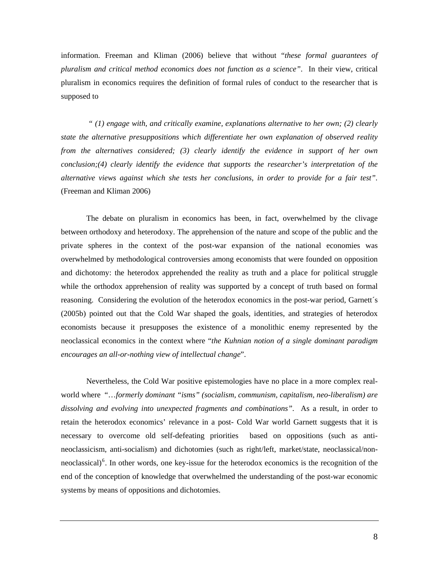information. Freeman and Kliman (2006) believe that without "*these formal guarantees of pluralism and critical method economics does not function as a science"*. In their view, critical pluralism in economics requires the definition of formal rules of conduct to the researcher that is supposed to

 *" (1) engage with, and critically examine, explanations alternative to her own; (2) clearly state the alternative presuppositions which differentiate her own explanation of observed reality from the alternatives considered; (3) clearly identify the evidence in support of her own conclusion;(4) clearly identify the evidence that supports the researcher's interpretation of the alternative views against which she tests her conclusions, in order to provide for a fair test".*  (Freeman and Kliman 2006)

The debate on pluralism in economics has been, in fact, overwhelmed by the clivage between orthodoxy and heterodoxy. The apprehension of the nature and scope of the public and the private spheres in the context of the post-war expansion of the national economies was overwhelmed by methodological controversies among economists that were founded on opposition and dichotomy: the heterodox apprehended the reality as truth and a place for political struggle while the orthodox apprehension of reality was supported by a concept of truth based on formal reasoning. Considering the evolution of the heterodox economics in the post-war period, Garnett´s (2005b) pointed out that the Cold War shaped the goals, identities, and strategies of heterodox economists because it presupposes the existence of a monolithic enemy represented by the neoclassical economics in the context where "*the Kuhnian notion of a single dominant paradigm encourages an all-or-nothing view of intellectual change*".

<span id="page-7-0"></span>Nevertheless, the Cold War positive epistemologies have no place in a more complex realworld where "…*formerly dominant "isms" (socialism, communism, capitalism, neo-liberalism) are dissolving and evolving into unexpected fragments and combinations"*. As a result, in order to retain the heterodox economics' relevance in a post- Cold War world Garnett suggests that it is necessary to overcome old self-defeating priorities based on oppositions (such as antineoclassicism, anti-socialism) and dichotomies (such as right/left, market/state, neoclassical/non-neoclassical)<sup>[6](#page-7-0)</sup>. In other words, one key-issue for the heterodox economics is the recognition of the end of the conception of knowledge that overwhelmed the understanding of the post-war economic systems by means of oppositions and dichotomies.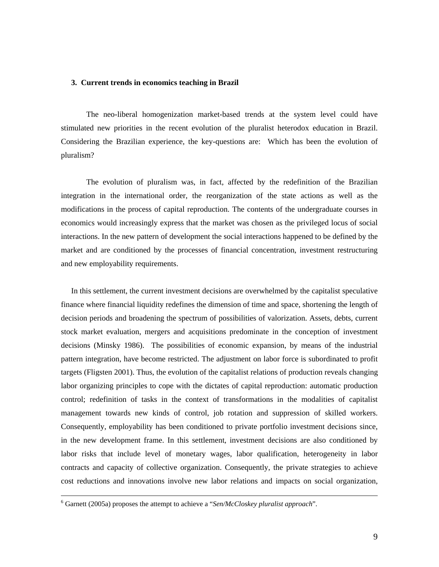#### **3. Current trends in economics teaching in Brazil**

The neo-liberal homogenization market-based trends at the system level could have stimulated new priorities in the recent evolution of the pluralist heterodox education in Brazil. Considering the Brazilian experience, the key-questions are: Which has been the evolution of pluralism?

modifications in the process of capital reproduction. The contents of the undergraduate courses in economics would increasingly express that the market was chosen as the privileged locus of social interactions. In the new pattern of development the social interactions happened to be defined by the The evolution of pluralism was, in fact, affected by the redefinition of the Brazilian integration in the international order, the reorganization of the state actions as well as the market and are conditioned by the processes of financial concentration, investment restructuring and new employability requirements.

decision periods and broadening the spectrum of possibilities of valorization. Assets, debts, current stock market evaluation, mergers and acquisitions predominate in the conception of investment dec isions (Minsky 1986). The possibilities of economic expansion, by means of the industrial In this settlement, the current investment decisions are overwhelmed by the capitalist speculative finance where financial liquidity redefines the dimension of time and space, shortening the length of pattern integration, have become restricted. The adjustment on labor force is subordinated to profit targets (Fligsten 2001). Thus, the evolution of the capitalist relations of production reveals changing labor organizing principles to cope with the dictates of capital reproduction: automatic production control; redefinition of tasks in the context of transformations in the modalities of capitalist management towards new kinds of control, job rotation and suppression of skilled workers. Consequently, employability has been conditioned to private portfolio investment decisions since, in the new development frame. In this settlement, investment decisions are also conditioned by labor risks that include level of monetary wages, labor qualification, heterogeneity in labor contracts and capacity of collective organization. Consequently, the private strategies to achieve cost reductions and innovations involve new labor relations and impacts on social organization,

 $\frac{1}{6}$ Garnett (2005a) proposes the attempt to achieve a "*Sen/McCloskey pluralist approach*".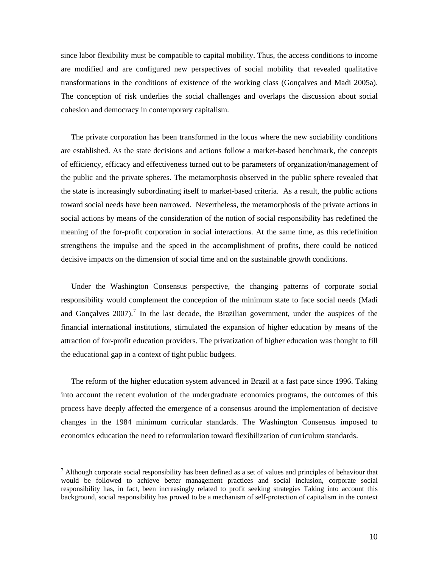since labor flexibility must be compatible to capital mobility. Thus, the access conditions to income are modified and are configured new perspectives of social mobility that revealed qualitative transformations in the conditions of existence of the working class (Gonçalves and Madi 2005a). The conception of risk underlies the social challenges and overlaps the discussion about social cohesion and democracy in contemporary capitalism.

The private corporation has been transformed in the locus where the new sociability conditions are established. As the state decisions and actions follow a market-based benchmark, the concepts of efficiency, efficacy and effectiveness turned out to be parameters of organization/management of the public and the private spheres. The metamorphosis observed in the public sphere revealed that the state is increasingly subordinating itself to market-based criteria. As a result, the public actions toward social needs have been narrowed. Nevertheless, the metamorphosis of the private actions in social actions by means of the consideration of the notion of social responsibility has redefined the meaning of the for-profit corporation in social interactions. At the same time, as this redefinition strengthens the impulse and the speed in the accomplishment of profits, there could be noticed decisive impacts on the dimension of social time and on the sustainable growth conditions.

Under the Washington Consensus perspective, the changing patterns of corporate social responsibility would complement the conception of the minimum state to face social needs (Madi and Gonçalves  $2007$  $2007$ ).<sup>7</sup> In the last decade, the Brazilian government, under the auspices of the financial international institutions, stimulated the expansion of higher education by means of the attraction of for-profit education providers. The privatization of higher education was thought to fill the educational gap in a context of tight public budgets.

The reform of the higher education system advanced in Brazil at a fast pace since 1996. Taking into account the recent evolution of the undergraduate economics programs, the outcomes of this pro cess have deeply affected the emergence of a consensus around the implementation of decisive changes in the 1984 minimum curricular standards. The Washington Consensus imposed to economics education the need to reformulation toward flexibilization of curriculum standards.

1

<span id="page-9-0"></span> $<sup>7</sup>$  Although corporate social responsibility has been defined as a set of values and principles of behaviour that</sup> would be followed to achieve better management practices and social inclusion, corporate social responsibility has, in fact, been increasingly related to profit seeking strategies Taking into account this background, social responsibility has proved to be a mechanism of self-protection of capitalism in the context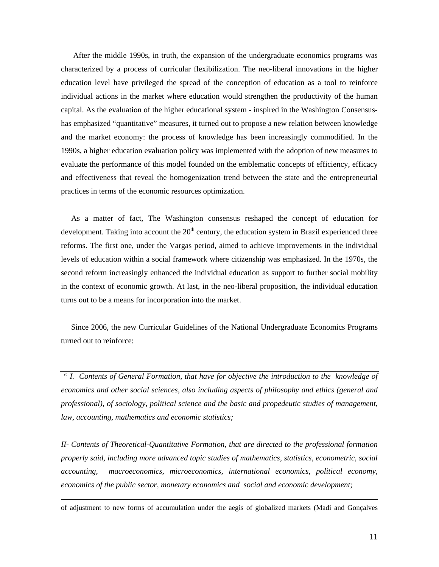After the middle 1990s, in truth, the expansion of the undergraduate economics programs was characterized by a process of curricular flexibilization. The neo-liberal innovations in the higher education level have privileged the spread of the conception of education as a tool to reinforce individual actions in the market where education would strengthen the productivity of the human capital. As the evaluation of the higher educational system - inspired in the Washington Consensushas emphasized "quantitative" measures, it turned out to propose a new relation between knowledge and the market economy: the process of knowledge has been increasingly commodified. In the 1990s, a higher education evaluation policy was implemented with the adoption of new measures to evaluate the performance of this model founded on the emblematic concepts of efficiency, efficacy and effectiveness that reveal the homogenization trend between the state and the entrepreneurial practices in terms of the economic resources optimization.

levels of education within a social framework where citizenship was emphasized. In the 1970s, the second reform increasingly enhanced the individual education as support to further social mobility in the context of economic growth. At last, in the neo-liberal proposition, the individual education As a matter of fact, The Washington consensus reshaped the concept of education for development. Taking into account the  $20<sup>th</sup>$  century, the education system in Brazil experienced three reforms. The first one, under the Vargas period, aimed to achieve improvements in the individual turns out to be a means for incorporation into the market.

Since 2006, the new Curricular Guidelines of the National Undergraduate Economics Programs turned out to reinforce:

 *" I. Contents of General Formation, that have for objective the introduction to the knowledge of*  economics and other social sciences, also including aspects of philosophy and ethics (general and professional), of sociology, political science and the basic and propedeutic studies of management, *law, accounting, mathematics and economic statistics;* 

economics of the public sector, monetary economics and social and economic development; *II- Contents of Theoretical-Quantitative Formation, that are directed to the professional formation properly said, including more advanced topic studies of mathematics, statistics, econometric, social accounting, macroeconomics, microeconomics, international economics, political economy,* 

of adjustment to new forms of accumulation under the aegis of globalized markets (Madi and Gonçalves

 $\overline{a}$ 

<u>.</u>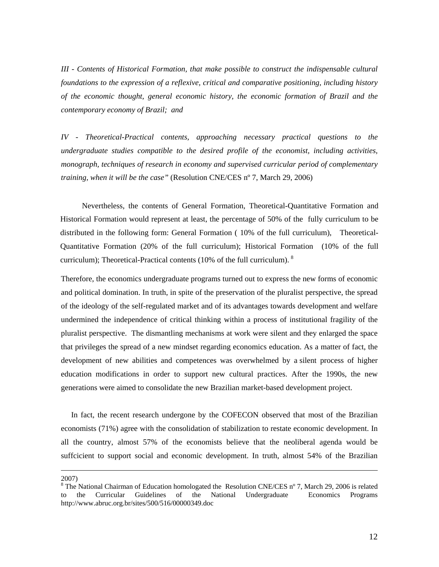*III - Contents of Historical Formation, that make possible to construct the indispensable cultural foundations to the expression of a reflexive, critical and comparative positioning, including history of the economic thought, general economic history, the economic formation of Brazil and the ontemporary economy of Brazil; and c*

monograph, techniques of research in economy and supervised curricular period of complementary training, when it will be the case" (Resolution CNE/CES n° 7, March 29, 2006) *IV - Theoretical-Practical contents, approaching necessary practical questions to the undergraduate studies compatible to the desired profile of the economist, including activities,* 

distributed in the following form: General Formation (10% of the full curriculum), Theoretical-Quantitative Formation (20% of the full curriculum); Historical Formation (10% of the full Nevertheless, the contents of General Formation, Theoretical-Quantitative Formation and Historical Formation would represent at least, the percentage of 50% of the fully curriculum to be curriculum); Theoretical-Practical contents (10% of the full curriculum).  $8$ 

undermined the independence of critical thinking within a process of institutional fragility of the Therefore, the economics undergraduate programs turned out to express the new forms of economic and political domination. In truth, in spite of the preservation of the pluralist perspective, the spread of the ideology of the self-regulated market and of its advantages towards development and welfare pluralist perspective. The dismantling mechanisms at work were silent and they enlarged the space that privileges the spread of a new mindset regarding economics education. As a matter of fact, the development of new abilities and competences was overwhelmed by a silent process of higher education modifications in order to support new cultural practices. After the 1990s, the new generations were aimed to consolidate the new Brazilian market-based development project.

all the country, almost 57% of the economists believe that the neoliberal agenda would be suffcicient to support social and economic development. In truth, almost 54% of the Brazilian In fact, the recent research undergone by the COFECON observed that most of the Brazilian economists (71%) agree with the consolidation of stabilization to restate economic development. In

2007)

1

<span id="page-11-0"></span>Undergraduate Economics Programs http://www.abruc.org.br/sites/500/516/00000349.doc <sup>8</sup> The National Chairman of Education homologated the Resolution CNE/CES n° 7, March 29, 2006 is related to the Curricular Guidelines of the Na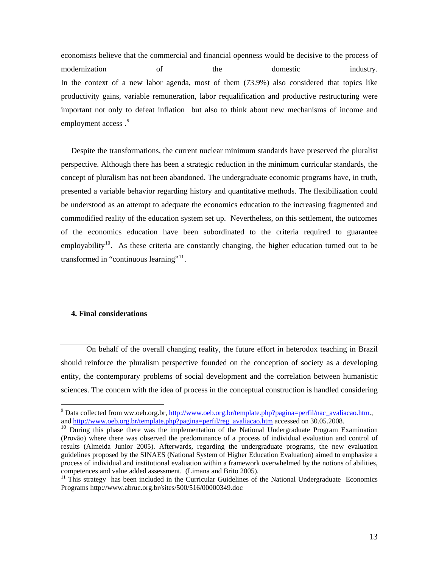eco nomists believe that the commercial and financial openness would be decisive to the process of modernization of the domestic industry. In the context of a new labor agenda, most of them (73.9%) also considered that topics like productivity gains, variable remuneration, labor requalification and productive restructuring were important not only to defeat inflation but also to think about new mechanisms of income and employment access.<sup>[9](#page-12-0)</sup>

concept of pluralism has not been abandoned. The undergraduate economic programs have, in truth, presented a variable behavior regarding history and quantitative methods. The flexibilization could be understood as an attempt to adequate the economics education to the increasing fragmented and Despite the transformations, the current nuclear minimum standards have preserved the pluralist perspective. Although there has been a strategic reduction in the minimum curricular standards, the commodified reality of the education system set up. Nevertheless, on this settlement, the outcomes of the economics education have been subordinated to the criteria required to guarantee employability<sup>[10](#page-12-1)</sup>. As these criteria are constantly changing, the higher education turned out to be transformed in "continuous learning"<sup>[11](#page-12-2)</sup>.

#### **4. Final considerations**

1

On behalf of the overall changing reality, the future effort in heterodox teaching in Brazil should reinforce the pluralism perspective founded on the conception of society as a developing entity, the contemporary problems of social development and the correlation between humanistic sciences. The concern with the idea of process in the conceptual construction is handled considering

<sup>&</sup>lt;sup>9</sup> Data collected from ww.oeb.org.br, [http://www.oeb.org.br/template.php?pagina=perfil/nac\\_avaliacao.htm.](http://www.oeb.org.br/template.php?pagina=perfil/nac_avaliacao.htm), and [http://www.oeb.org.br/template.php?pagina=perfil/reg\\_avaliacao.htm](http://www.oeb.org.br/template.php?pagina=perfil/reg_avaliacao.htm) accessed on 30.05.2008.

<span id="page-12-1"></span><span id="page-12-0"></span><sup>&</sup>lt;sup>10</sup> During this phase there was the implementation of the National Undergraduate Program Examination (Provão) where there was observed the predominance of a process of individual evaluation and control of results (Almeida Junior 2005). Afterwards, regarding the undergraduate programs, the new evaluation guidelines proposed by the SINAES (National System of Higher Education Evaluation) aimed to emphasize a process of individual and institutional evaluation within a framework overwhelmed by the notions of abilities, competences and value added assessment. (Limana and Brito 2005).<br><sup>11</sup> This strategy has been included in the Curricular Guidelines of the National Undergraduate Economics

<span id="page-12-2"></span>Programs http://www.abruc.org.br/sites/500/516/00000349.doc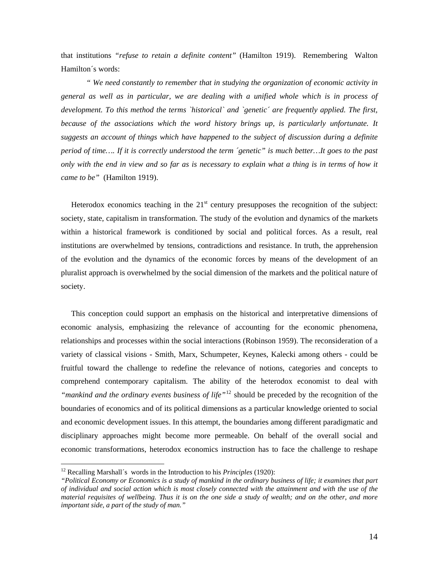that ins titutions *"refuse to retain a definite content"* (Hamilton 1919). Remembering Walton Hamilton´s words:

*ociations which the word history brings up, is particularly unfortunate. It because of the ass* suggests an account of things which have happened to the subject of discussion during a definite *" We need constantly to remember that in studying the organization of economic activity in general as well as in particular, we are dealing with a unified whole which is in process of development. To this method the terms `historical` and `genetic´ are frequently applied. The first, period of time…. If it is correctly understood the term ´genetic" is much better…It goes to the past only with the end in view and so far as is necessary to explain what a thing is in terms of how it came to be"* (Hamilton 1919).

within a historical framework is conditioned by social and political forces. As a result, real institutions are overwhelmed by tensions, contradictions and resistance. In truth, the apprehension of the evolution and the dynamics of the economic forces by means of the development of an Heterodox economics teaching in the  $21<sup>st</sup>$  century presupposes the recognition of the subject: society, state, capitalism in transformation. The study of the evolution and dynamics of the markets pluralist approach is overwhelmed by the social dimension of the markets and the political nature of society.

relationships and processes within the social interactions (Robinson 1959). The reconsideration of a variety of classical visions - Smith, Marx, Schumpeter, Keynes, Kalecki among others - could be fruitful toward the challenge to redefine the relevance of notions, categories and concepts to This conception could support an emphasis on the historical and interpretative dimensions of economic analysis, emphasizing the relevance of accounting for the economic phenomena, comprehend contemporary capitalism. The ability of the heterodox economist to deal with *"mankind and the ordinary events business of life"*[12](#page-13-0) should be preceded by the recognition of the boundaries of economics and of its political dimensions as a particular knowledge oriented to social and economic development issues. In this attempt, the boundaries among different paradigmatic and disciplinary approaches might become more permeable. On behalf of the overall social and economic transformations, heterodox economics instruction has to face the challenge to reshape

1

<span id="page-13-0"></span><sup>12</sup> Recalling Marshall´s words in the Introduction to his *Principles* (1920):

*<sup>&</sup>quot;Political Economy or Economics is a study of mankind in the ordinary business of life; it examines that part of individual and social action which is most closely connected with the attainment and with the use of the material requisites of wellbeing. Thus it is on the one side a study of wealth; and on the other, and more important side, a part of the study of man."*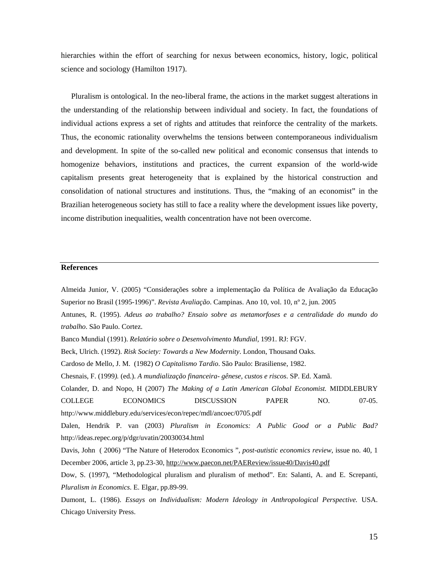hierarchies within the effort of searching for nexus between economics, history, logic, political science and sociology (Hamilton 1917).

Pluralism is ontological. In the neo-liberal frame, the actions in the market suggest alterations in the understanding of the relationship between individual and society. In fact, the foundations of individual actions express a set of rights and attitudes that reinforce the centrality of the markets. Thus, the economic rationality overwhelms the tensions between contemporaneous individualism and development. In spite of the so-called new political and economic consensus that intends to homogenize behaviors, institutions and practices, the current expansion of the world-wide capitalism presents great heterogeneity that is explained by the historical construction and consolidation of national structures and institutions. Thus, the "making of an economist" in the Brazilian heterogeneous society has still to face a reality where the development issues like poverty, income distribution inequalities, wealth concentration have not been overcome.

## **References**

trabalho. São Paulo. Cortez.

Almeida Junior, V. (2005) "Considerações sobre a implementação da Política de Avaliação da Educação Superior no Brasil (1995-1996)". *Revista Avaliação*. Campinas. Ano 10, vol. 10, nº 2, jun. 2005 Antunes, R. (1995). *Adeus ao trabalho? Ensaio sobre as metamorfoses e a centralidade do mundo do* 

Banco Mundial (1991). *Relatório sobre o Desenvolvimento Mundial,* 1991. RJ: FGV.

*undialização financeira- gênese, custos e riscos*. SP. Ed. Xamã. Chesnais, F. (1999*).* (ed.). *A m*

Colander, D. and Nopo, H (2007) *The Making of a Latin American Global Economist*. MIDDLEBURY NO. 07-05. COLLEGE ECONOMICS DISCUSSION PAPER http://www.middlebury.edu/services/econ/repec/mdl/ancoec/0705.pdf

*Public Bad?*  Dalen, Hendrik P. van (2003) *Pluralism in Economics: A Public Good or a*  http://ideas.repec.org/p/dgr/uvatin/20030034.html

December 2006, article 3, pp.23-30, http://www.paecon.net/PAEReview/issue40/Davis40.pdf Davis, John ( 2006) "The Nature of Heterodox Economics ", *post-autistic economics review*, issue no. 40, 1

Dow, S. (1997), "Methodological pluralism and pluralism of method". En: Salanti, A. and E. Screpanti, *Pluralism in Economics*. E. Elgar, pp.89-99.

Dumont, L. (1986). *Essays on Individualism: Modern Ideology in Anthropological Perspective.* USA. Chicago University Press.

Beck, Ulrich. (1992). *Risk Society: Towards a New Modernity*. London, Thousand Oaks.

Cardoso de Mello, J. M. (1982) *O Capitalismo Tardio*. São Paulo: Brasiliense, 1982.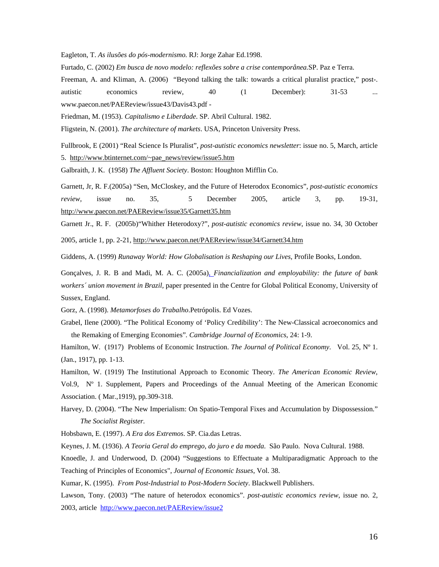Eagleton, T. *As ilusões do pós-modernismo.* RJ: Jorge Zahar Ed.1998.

Furtado, C. (2002) *Em busca de novo modelo: reflexões sobre a crise contemporânea.*SP. Paz e Terra.

Freeman, A. and Kliman, A. (2006) "Beyond talking the talk: towards a critical pluralist practice," post-.

1-53 ... autistic economics review, 40 (1 December): 3 www.paecon.net/PAEReview/issue43/Davis43.pdf -

Friedman, M. (1953). *Capitalismo e Liberdade*. SP. Abril Cultural. 1982.

Fligstein, N. (2001). *The architecture of markets*. USA, Princeton University Press.

Fullbrook, E (2001) "Real Science Is Pluralist", *post-autistic economics newsletter*: issue no. 5, March, article

5. http://www.btinternet.com/~pae\_news/review/issue5.htm

Galbraith, J. K. (1958) *The Affluent Society*. Boston: Houghton Mifflin Co.

Garnett, Jr, R. F.(2005a) "Sen, McCloskey, and the Future of Heterodox Economics", *post-autistic economics review*, issue no. 35, 5 December 2005, article 3, pp. 19-31, http://www.paecon.net/PAEReview/issue35/Garnett35.htm

Garnett Jr., R. F. (2005b)"Whither Heterodoxy?", *post-autistic economics review*, issue no. 34, 30 October

2005, article 1, pp. 2-21, [http://www.paecon.net/PAEReview/issue34/Garnett34.htm](http://www.btinternet.com/%7Epae_news/review/issue5.htm)

Giddens, A. (1999) *Runaway World: How Globalisation is Reshaping our Lives*, Profile Books, London.

Gonçalves, J. R. B and Madi, M. A. C. (2005a), *Financialization and employability: the future of bank workers´ union movement in Brazil,* [paper presented in the Centre for Global Political Economy, University of](http://www.paecon.net/PAEReview/issue35/Marques35.htm)  [Sussex, England.](http://www.paecon.net/PAEReview/issue35/Marques35.htm) 

Gorz, A. (1998). *[Metamorfoses do Trabalho](http://www.paecon.net/PAEReview/issue35/Marques35.htm)*.Petrópolis. Ed Vozes.

the Remaking of Emerging Economies". Cambridge Journal of Economics, 24: 1-9. Grabel, Ilene (2000). "The Political Economy of 'Policy Credibility': The New-Classical acroeconomics and

Hamilton, W. (1917) Problems of Economic Instruction. *The Journal of Political Economy*. Vol. 25, Nº 1. (Jan., 1917), pp. 1-13.

Association. (Mar., 1919), pp.309-318. Hamilton, W. (1919) The Institutional Approach to Economic Theory. *The American Economic Review*, Vol.9, Nº 1. Supplement, Papers and Proceedings of the Annual Meeting of the American Economic

Harvey, D. (2004). "The New Imperialism: On Spatio-Temporal Fixes and Accumulation by Dispossession." *The Socialist Register.* 

Ho bsbawn, E. (1997). *A Era dos Extremos*. SP. Cia.das Letras.

Keynes, J. M. (1936). *A Teoria Geral do emprego, do juro e da moeda*. São Paulo. Nova Cultural. 1988.

Knoedle, J. and Underwood, D. (2004) "Suggestions to Effectuate a Multiparadigmatic Approach to the Teaching of Principles of Economics", *Journal of Economic Issues*, Vol. 38.

Kumar, K. (1995). *From Post-Industrial to Post-Modern Society*. Blackwell Publishers.

Lawson, Tony. (2003) "The nature of heterodox economics". *post-autistic economics review*, issue no. 2, 2003, article http://www.paecon.net/PAEReview/issue2